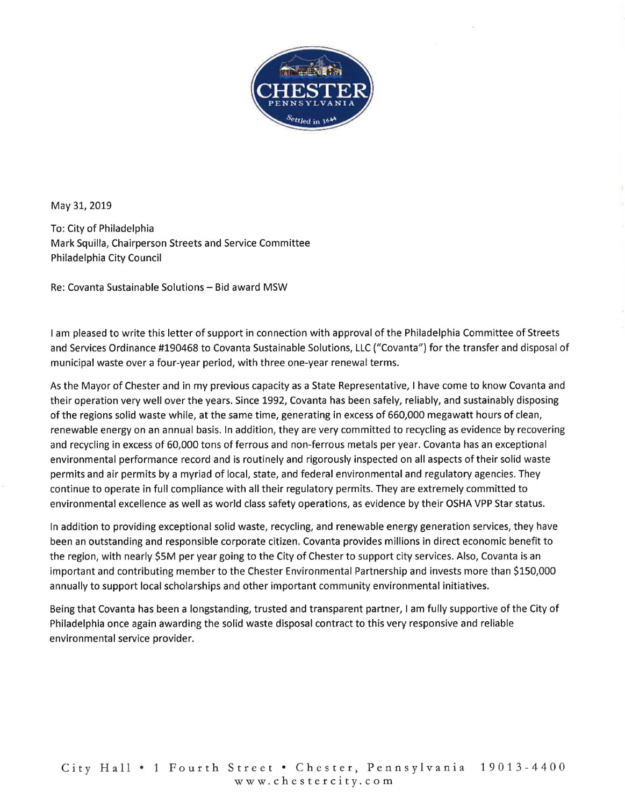

May 31, 2019

To: City of Philadelphia Mark Squilla, Chairperson Streets and Service Committee Philadelphia City Council

Re: Covanta Sustainable Solutions - Bid award MSW

I am pleased to write this letter of support in connection with approval of the Philadelphia Committee of Streets and Services Ordinance #190468 to Covanta Sustainable Solutions, LLC ("Covanta") for the transfer and disposal of municipal waste over a four-year period, with three one-year renewal terms.

As the Mayor of Chester and in my previous capacity as a State Representative, I have come to know Covanta and their operation very well over the years. Since 1992, Covanta has been safely, reliably, and sustainably disposing of the regions solid waste while, at the same time, generating in excess of 660,000 megawatt hours of clean, renewable energy on an annual basis. In addition, they are very committed to recycling as evidence by recovering and recycling in excess of 60,000 tons of ferrous and non-ferrous metals per year. Covanta has an exceptional environmental performance record and is routinely and rigorously inspected on all aspects of their solid waste permits and air permits by a myriad of local, state, and federal environmental and regulatory agencies. They continue to operate in full compliance with all their regulatory permits. They are extremely committed to environmental excellence as well as world class safety operations, as evidence by their OSHA VPP Star status.

In addition to providing exceptional solid waste, recycling, and renewable energy generation services, they have been an outstanding and responsible corporate citizen. Covanta provides millions in direct economic benefit to the region, with nearly \$SM per year going to the City of Chester to support city services. Also, Covanta is an important and contributing member to the Chester Environmental Partnership and invests more than \$150,000 annually to support local scholarships and other important community environmental initiatives.

Being that Covanta has been a longstanding, trusted and transparent partner, I am fully supportive of the City of Philadelphia once again awarding the solid waste disposal contract to this very responsive and reliable environmental service provider.